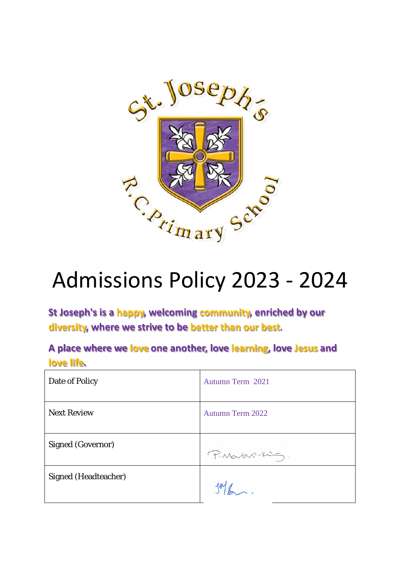

# Admissions Policy 2023 - 2024

**St Joseph's is a happy, welcoming community, enriched by our diversity, where we strive to be better than our best.**

**A place where we love one another, love learning, love Jesus and love life.**

| Date of Policy              | Autumn Term 2021        |
|-----------------------------|-------------------------|
| <b>Next Review</b>          | <b>Autumn Term 2022</b> |
| <b>Signed (Governor)</b>    | P. Martin-King.         |
| <b>Signed (Headteacher)</b> |                         |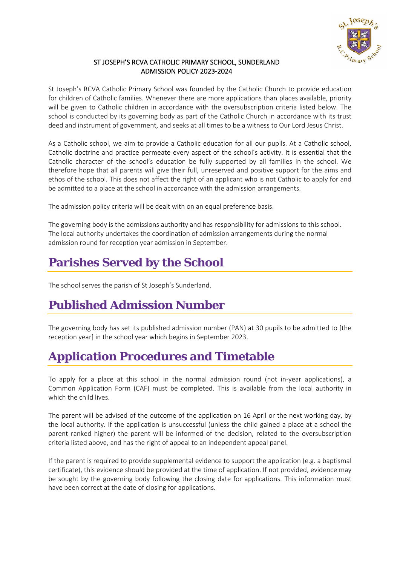

#### ST JOSEPH'S RCVA CATHOLIC PRIMARY SCHOOL, SUNDERLAND ADMISSION POLICY 2023-2024

St Joseph's RCVA Catholic Primary School was founded by the Catholic Church to provide education for children of Catholic families. Whenever there are more applications than places available, priority will be given to Catholic children in accordance with the oversubscription criteria listed below. The school is conducted by its governing body as part of the Catholic Church in accordance with its trust deed and instrument of government, and seeks at all times to be a witness to Our Lord Jesus Christ.

As a Catholic school, we aim to provide a Catholic education for all our pupils. At a Catholic school, Catholic doctrine and practice permeate every aspect of the school's activity. It is essential that the Catholic character of the school's education be fully supported by all families in the school. We therefore hope that all parents will give their full, unreserved and positive support for the aims and ethos of the school. This does not affect the right of an applicant who is not Catholic to apply for and be admitted to a place at the school in accordance with the admission arrangements.

The admission policy criteria will be dealt with on an equal preference basis.

The governing body is the admissions authority and has responsibility for admissions to this school. The local authority undertakes the coordination of admission arrangements during the normal admission round for reception year admission in September.

# **Parishes Served by the School**

The school serves the parish of St Joseph's Sunderland.

## **Published Admission Number**

The governing body has set its published admission number (PAN) at 30 pupils to be admitted to [the reception year] in the school year which begins in September 2023.

## **Application Procedures and Timetable**

To apply for a place at this school in the normal admission round (not in-year applications), a Common Application Form (CAF) must be completed. This is available from the local authority in which the child lives.

The parent will be advised of the outcome of the application on 16 April or the next working day, by the local authority. If the application is unsuccessful (unless the child gained a place at a school the parent ranked higher) the parent will be informed of the decision, related to the oversubscription criteria listed above, and has the right of appeal to an independent appeal panel.

If the parent is required to provide supplemental evidence to support the application (e.g. a baptismal certificate), this evidence should be provided at the time of application. If not provided, evidence may be sought by the governing body following the closing date for applications. This information must have been correct at the date of closing for applications.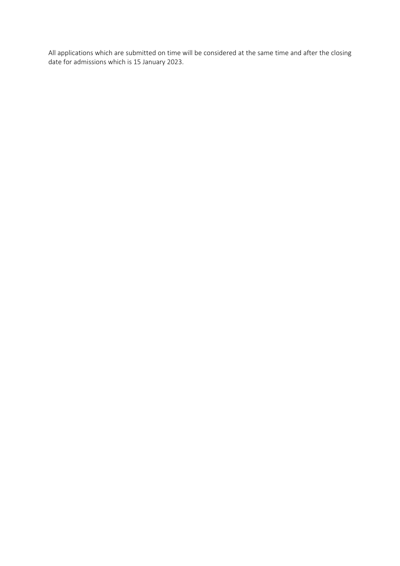All applications which are submitted on time will be considered at the same time and after the closing date for admissions which is 15 January 2023.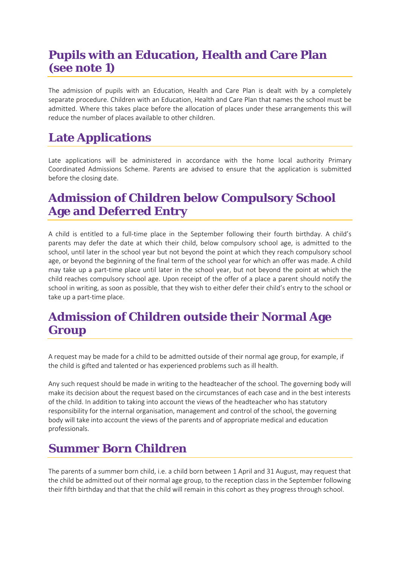# **Pupils with an Education, Health and Care Plan (see note 1)**

The admission of pupils with an Education, Health and Care Plan is dealt with by a completely separate procedure. Children with an Education, Health and Care Plan that names the school must be admitted. Where this takes place before the allocation of places under these arrangements this will reduce the number of places available to other children.

# **Late Applications**

Late applications will be administered in accordance with the home local authority Primary Coordinated Admissions Scheme. Parents are advised to ensure that the application is submitted before the closing date.

# **Admission of Children below Compulsory School Age and Deferred Entry**

A child is entitled to a full-time place in the September following their fourth birthday. A child's parents may defer the date at which their child, below compulsory school age, is admitted to the school, until later in the school year but not beyond the point at which they reach compulsory school age, or beyond the beginning of the final term of the school year for which an offer was made. A child may take up a part-time place until later in the school year, but not beyond the point at which the child reaches compulsory school age. Upon receipt of the offer of a place a parent should notify the school in writing, as soon as possible, that they wish to either defer their child's entry to the school or take up a part-time place.

#### **Admission of Children outside their Normal Age Group**

A request may be made for a child to be admitted outside of their normal age group, for example, if the child is gifted and talented or has experienced problems such as ill health.

Any such request should be made in writing to the headteacher of the school. The governing body will make its decision about the request based on the circumstances of each case and in the best interests of the child. In addition to taking into account the views of the headteacher who has statutory responsibility for the internal organisation, management and control of the school, the governing body will take into account the views of the parents and of appropriate medical and education professionals.

# **Summer Born Children**

The parents of a summer born child, i.e. a child born between 1 April and 31 August, may request that the child be admitted out of their normal age group, to the reception class in the September following their fifth birthday and that that the child will remain in this cohort as they progress through school.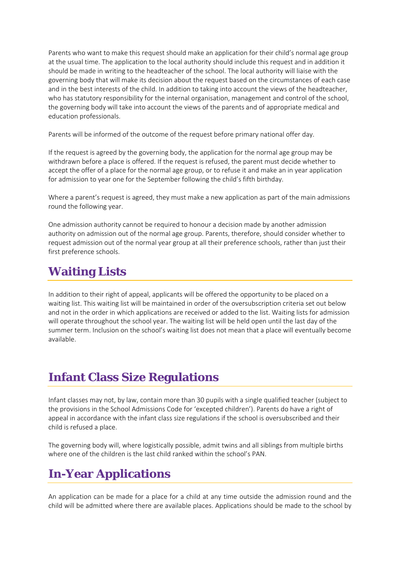Parents who want to make this request should make an application for their child's normal age group at the usual time. The application to the local authority should include this request and in addition it should be made in writing to the headteacher of the school. The local authority will liaise with the governing body that will make its decision about the request based on the circumstances of each case and in the best interests of the child. In addition to taking into account the views of the headteacher, who has statutory responsibility for the internal organisation, management and control of the school, the governing body will take into account the views of the parents and of appropriate medical and education professionals.

Parents will be informed of the outcome of the request before primary national offer day.

If the request is agreed by the governing body, the application for the normal age group may be withdrawn before a place is offered. If the request is refused, the parent must decide whether to accept the offer of a place for the normal age group, or to refuse it and make an in year application for admission to year one for the September following the child's fifth birthday.

Where a parent's request is agreed, they must make a new application as part of the main admissions round the following year.

One admission authority cannot be required to honour a decision made by another admission authority on admission out of the normal age group. Parents, therefore, should consider whether to request admission out of the normal year group at all their preference schools, rather than just their first preference schools.

## **Waiting Lists**

In addition to their right of appeal, applicants will be offered the opportunity to be placed on a waiting list. This waiting list will be maintained in order of the oversubscription criteria set out below and not in the order in which applications are received or added to the list. Waiting lists for admission will operate throughout the school year. The waiting list will be held open until the last day of the summer term. Inclusion on the school's waiting list does not mean that a place will eventually become available.

# **Infant Class Size Regulations**

Infant classes may not, by law, contain more than 30 pupils with a single qualified teacher (subject to the provisions in the School Admissions Code for 'excepted children'). Parents do have a right of appeal in accordance with the infant class size regulations if the school is oversubscribed and their child is refused a place.

The governing body will, where logistically possible, admit twins and all siblings from multiple births where one of the children is the last child ranked within the school's PAN.

## **In-Year Applications**

An application can be made for a place for a child at any time outside the admission round and the child will be admitted where there are available places. Applications should be made to the school by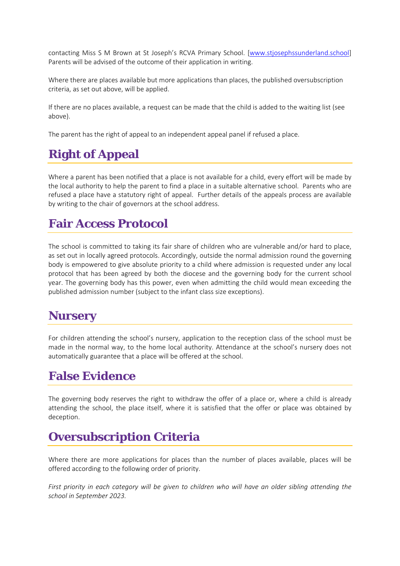contacting Miss S M Brown at St Joseph's RCVA Primary School. [\[www.stjosephssunderland.school\]](http://www.stjosephssunderland.school/) Parents will be advised of the outcome of their application in writing.

Where there are places available but more applications than places, the published oversubscription criteria, as set out above, will be applied.

If there are no places available, a request can be made that the child is added to the waiting list (see above).

The parent has the right of appeal to an independent appeal panel if refused a place.

# **Right of Appeal**

Where a parent has been notified that a place is not available for a child, every effort will be made by the local authority to help the parent to find a place in a suitable alternative school. Parents who are refused a place have a statutory right of appeal. Further details of the appeals process are available by writing to the chair of governors at the school address.

## **Fair Access Protocol**

The school is committed to taking its fair share of children who are vulnerable and/or hard to place, as set out in locally agreed protocols. Accordingly, outside the normal admission round the governing body is empowered to give absolute priority to a child where admission is requested under any local protocol that has been agreed by both the diocese and the governing body for the current school year. The governing body has this power, even when admitting the child would mean exceeding the published admission number (subject to the infant class size exceptions).

#### **Nursery**

For children attending the school's nursery, application to the reception class of the school must be made in the normal way, to the home local authority. Attendance at the school's nursery does not automatically guarantee that a place will be offered at the school.

## **False Evidence**

The governing body reserves the right to withdraw the offer of a place or, where a child is already attending the school, the place itself, where it is satisfied that the offer or place was obtained by deception.

# **Oversubscription Criteria**

Where there are more applications for places than the number of places available, places will be offered according to the following order of priority.

*First priority in each category will be given to children who will have an older sibling attending the school in September 2023.*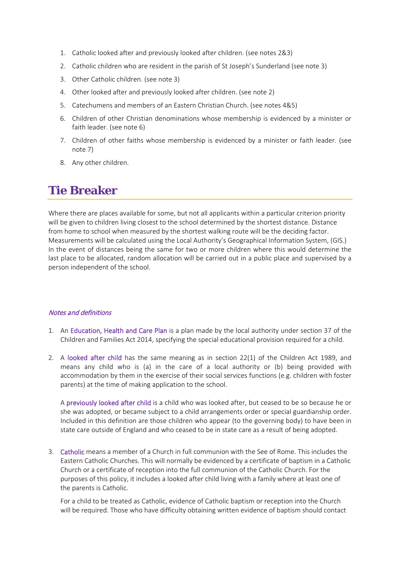- 1. Catholic looked after and previously looked after children. (see notes 2&3)
- 2. Catholic children who are resident in the parish of St Joseph's Sunderland (see note 3)
- 3. Other Catholic children. (see note 3)
- 4. Other looked after and previously looked after children. (see note 2)
- 5. Catechumens and members of an Eastern Christian Church. (see notes 4&5)
- 6. Children of other Christian denominations whose membership is evidenced by a minister or faith leader. (see note 6)
- 7. Children of other faiths whose membership is evidenced by a minister or faith leader. (see note 7)
- 8. Any other children.

#### **Tie Breaker**

Where there are places available for some, but not all applicants within a particular criterion priority will be given to children living closest to the school determined by the shortest distance. Distance from home to school when measured by the shortest walking route will be the deciding factor. Measurements will be calculated using the Local Authority's Geographical Information System, (GIS.) In the event of distances being the same for two or more children where this would determine the last place to be allocated, random allocation will be carried out in a public place and supervised by a person independent of the school.

#### Notes and definitions

- 1. An Education, Health and Care Plan is a plan made by the local authority under section 37 of the Children and Families Act 2014, specifying the special educational provision required for a child.
- 2. A looked after child has the same meaning as in section 22(1) of the Children Act 1989, and means any child who is (a) in the care of a local authority or (b) being provided with accommodation by them in the exercise of their social services functions (e.g. children with foster parents) at the time of making application to the school.

A previously looked after child is a child who was looked after, but ceased to be so because he or she was adopted, or became subject to a child arrangements order or special guardianship order. Included in this definition are those children who appear (to the governing body) to have been in state care outside of England and who ceased to be in state care as a result of being adopted.

3. Catholic means a member of a Church in full communion with the See of Rome. This includes the Eastern Catholic Churches. This will normally be evidenced by a certificate of baptism in a Catholic Church or a certificate of reception into the full communion of the Catholic Church. For the purposes of this policy, it includes a looked after child living with a family where at least one of the parents is Catholic.

For a child to be treated as Catholic, evidence of Catholic baptism or reception into the Church will be required. Those who have difficulty obtaining written evidence of baptism should contact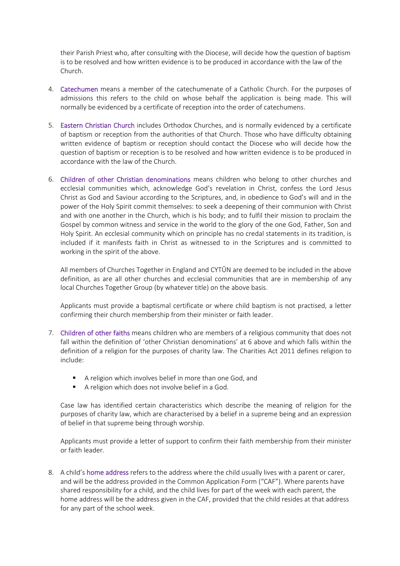their Parish Priest who, after consulting with the Diocese, will decide how the question of baptism is to be resolved and how written evidence is to be produced in accordance with the law of the Church.

- 4. Catechumen means a member of the catechumenate of a Catholic Church. For the purposes of admissions this refers to the child on whose behalf the application is being made. This will normally be evidenced by a certificate of reception into the order of catechumens.
- 5. Eastern Christian Church includes Orthodox Churches, and is normally evidenced by a certificate of baptism or reception from the authorities of that Church. Those who have difficulty obtaining written evidence of baptism or reception should contact the Diocese who will decide how the question of baptism or reception is to be resolved and how written evidence is to be produced in accordance with the law of the Church.
- 6. Children of other Christian denominations means children who belong to other churches and ecclesial communities which, acknowledge God's revelation in Christ, confess the Lord Jesus Christ as God and Saviour according to the Scriptures, and, in obedience to God's will and in the power of the Holy Spirit commit themselves: to seek a deepening of their communion with Christ and with one another in the Church, which is his body; and to fulfil their mission to proclaim the Gospel by common witness and service in the world to the glory of the one God, Father, Son and Holy Spirit. An ecclesial community which on principle has no credal statements in its tradition, is included if it manifests faith in Christ as witnessed to in the Scriptures and is committed to working in the spirit of the above.

All members of Churches Together in England and CYTÛN are deemed to be included in the above definition, as are all other churches and ecclesial communities that are in membership of any local Churches Together Group (by whatever title) on the above basis.

Applicants must provide a baptismal certificate or where child baptism is not practised, a letter confirming their church membership from their minister or faith leader.

- 7. Children of other faiths means children who are members of a religious community that does not fall within the definition of 'other Christian denominations' at 6 above and which falls within the definition of a religion for the purposes of charity law. The Charities Act 2011 defines religion to include:
	- A religion which involves belief in more than one God, and
	- A religion which does not involve belief in a God.

Case law has identified certain characteristics which describe the meaning of religion for the purposes of charity law, which are characterised by a belief in a supreme being and an expression of belief in that supreme being through worship.

Applicants must provide a letter of support to confirm their faith membership from their minister or faith leader.

8. A child's home address refers to the address where the child usually lives with a parent or carer, and will be the address provided in the Common Application Form ("CAF"). Where parents have shared responsibility for a child, and the child lives for part of the week with each parent, the home address will be the address given in the CAF, provided that the child resides at that address for any part of the school week.